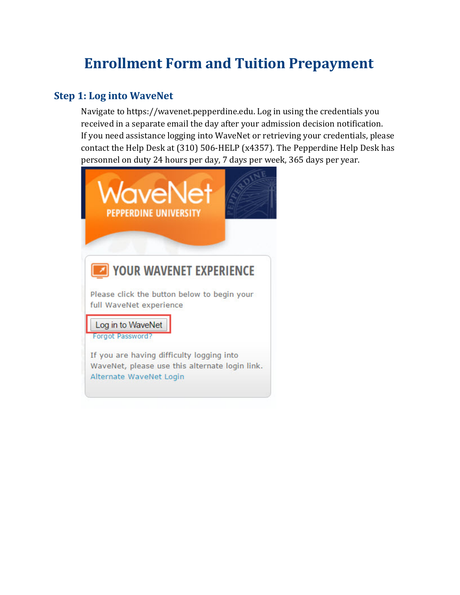# **Enrollment Form and Tuition Prepayment**

# **Step 1: Log into WaveNet**

Navigate to https://wavenet.pepperdine.edu. Log in using the credentials you received in a separate email the day after your admission decision notification. If you need assistance logging into WaveNet or retrieving your credentials, please contact the Help Desk at (310) 506-HELP (x4357). The Pepperdine Help Desk has personnel on duty 24 hours per day, 7 days per week, 365 days per year.

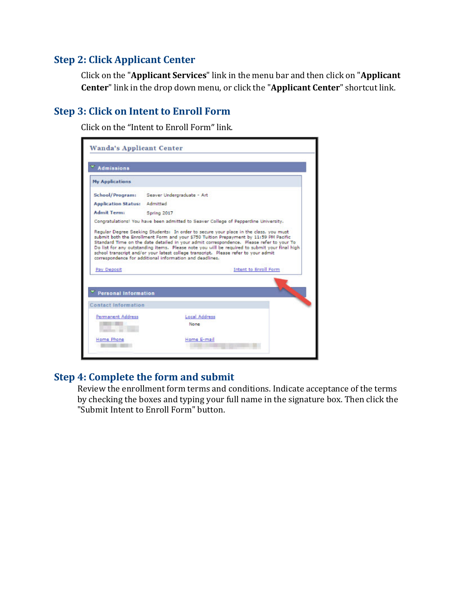### **Step 2: Click Applicant Center**

Click on the "**Applicant Services**" link in the menu bar and then click on "**Applicant Center**" link in the drop down menu, or click the "**Applicant Center**" shortcut link.

# **Step 3: Click on Intent to Enroll Form**

Click on the "Intent to Enroll Form" link.

| <b>Admissions</b>           |                                                                                                                                                                                                                                                                                                                                                                                                                                                                                                                                |
|-----------------------------|--------------------------------------------------------------------------------------------------------------------------------------------------------------------------------------------------------------------------------------------------------------------------------------------------------------------------------------------------------------------------------------------------------------------------------------------------------------------------------------------------------------------------------|
| <b>My Applications</b>      |                                                                                                                                                                                                                                                                                                                                                                                                                                                                                                                                |
| School/Program:             | Seaver Undergraduate - Art                                                                                                                                                                                                                                                                                                                                                                                                                                                                                                     |
| <b>Application Status:</b>  | Admittad                                                                                                                                                                                                                                                                                                                                                                                                                                                                                                                       |
| <b>Admit Term:</b>          | Spring 2017                                                                                                                                                                                                                                                                                                                                                                                                                                                                                                                    |
|                             | Congratulations! You have been admitted to Seaver College of Pepperdine University.                                                                                                                                                                                                                                                                                                                                                                                                                                            |
|                             | Regular Degree Seeking Students: In order to secure your place in the class, you must<br>submit both the Enrollment Form and your \$750 Tuition Prepayment by 11:59 PM Pacific<br>Standard Time on the date detailed in your admit correspondence. Please refer to your To<br>Do list for any outstanding items. Please note you will be required to submit your final high<br>school transcript and/or your latest college transcript. Please refer to your admit<br>correspondence for additional information and deadlines. |
| Pay Deposit                 | <b>Intent to Enroll Form</b>                                                                                                                                                                                                                                                                                                                                                                                                                                                                                                   |
|                             |                                                                                                                                                                                                                                                                                                                                                                                                                                                                                                                                |
| <b>Personal Information</b> |                                                                                                                                                                                                                                                                                                                                                                                                                                                                                                                                |
| Permanent Address           | Local Address                                                                                                                                                                                                                                                                                                                                                                                                                                                                                                                  |
| <b>Contact Information</b>  | None                                                                                                                                                                                                                                                                                                                                                                                                                                                                                                                           |

#### **Step 4: Complete the form and submit**

Review the enrollment form terms and conditions. Indicate acceptance of the terms by checking the boxes and typing your full name in the signature box. Then click the "Submit Intent to Enroll Form" button.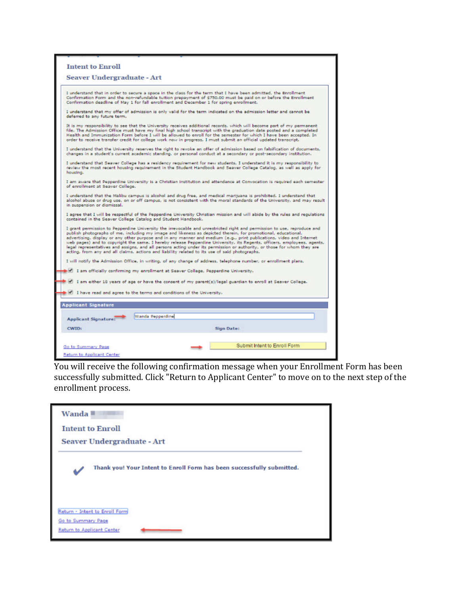| <b>Seaver Undergraduate - Art</b>                                                                                                                                                                                                                                                                                                                                                                                                                                                                                                                                                                                                                                                                                        |                              |
|--------------------------------------------------------------------------------------------------------------------------------------------------------------------------------------------------------------------------------------------------------------------------------------------------------------------------------------------------------------------------------------------------------------------------------------------------------------------------------------------------------------------------------------------------------------------------------------------------------------------------------------------------------------------------------------------------------------------------|------------------------------|
|                                                                                                                                                                                                                                                                                                                                                                                                                                                                                                                                                                                                                                                                                                                          |                              |
| I understand that in order to secure a space in the class for the term that I have been admitted, the Enrollment<br>Confirmation Form and the non-refundable tuition prepayment of \$750.00 must be paid on or before the Enrollment<br>Confirmation deadline of May 1 for fall enrollment and December 1 for spring enrollment.                                                                                                                                                                                                                                                                                                                                                                                         |                              |
| I understand that my offer of admission is only valid for the term indicated on the admission letter and cannot be<br>deferred to any future term.                                                                                                                                                                                                                                                                                                                                                                                                                                                                                                                                                                       |                              |
| It is my responsibility to see that the University receives additional records, which will become part of my permanent<br>file. The Admission Office must have my final high school transcript with the graduation date posted and a completed<br>Health and Immunization Form before I will be allowed to enroll for the semester for which I have been accepted. In<br>order to receive transfer credit for college work now in progress. I must submit an official updated transcript.                                                                                                                                                                                                                                |                              |
| I understand that the University reserves the right to revoke an offer of admission based on falsification of documents.<br>changes in a student's current academic standing, or personal conduct at a secondary or post-secondary institution.                                                                                                                                                                                                                                                                                                                                                                                                                                                                          |                              |
| I understand that Seaver College has a residency requirement for new students. I understand it is my responsibility to<br>review the most recent housing requirement in the Student Handbook and Seaver College Catalog, as well as apply for<br>housing.                                                                                                                                                                                                                                                                                                                                                                                                                                                                |                              |
| I am aware that Pepperdine University is a Christian institution and attendance at Convocation is required each semester<br>of enrollment at Seaver College.                                                                                                                                                                                                                                                                                                                                                                                                                                                                                                                                                             |                              |
| I understand that the Malibu campus is alcohol and drug free, and medical marijuana is prohibited. I understand that<br>alcohol abuse or drug use, on or off campus, is not consistent with the moral standards of the University, and may result<br>in suspension or dismissal.                                                                                                                                                                                                                                                                                                                                                                                                                                         |                              |
| I agree that I will be respectful of the Pepperdine University Christian mission and will abide by the rules and regulations<br>contained in the Seaver College Catalog and Student Handbook.                                                                                                                                                                                                                                                                                                                                                                                                                                                                                                                            |                              |
| I grant permission to Pepperdine University the irrevocable and unrestricted right and permission to use, reproduce and<br>publish photographs of me, including my image and likeness as depicted therein, for promotional, educational,<br>advertising, display or any other purpose and in any manner and medium (e.g., print publications, video and Internet<br>web pages) and to copyright the same. I hereby release Pepperdine University, its Regents, officers, employees, agents,<br>legal representatives and assigns, and all persons acting under its permission or authority, or those for whom they are<br>acting, from any and all claims, actions and liability related to its use of said photographs. |                              |
| I will notify the Admission Office, in writing, of any change of address, telephone number, or enrollment plans.                                                                                                                                                                                                                                                                                                                                                                                                                                                                                                                                                                                                         |                              |
| I am officially confirming my enrollment at Seaver College, Pepperdine University.                                                                                                                                                                                                                                                                                                                                                                                                                                                                                                                                                                                                                                       |                              |
| I am either 18 years of age or have the consent of my parent(s)/legal guardian to enroll at Seaver College.                                                                                                                                                                                                                                                                                                                                                                                                                                                                                                                                                                                                              |                              |
| I have read and agree to the terms and conditions of the University.                                                                                                                                                                                                                                                                                                                                                                                                                                                                                                                                                                                                                                                     |                              |
|                                                                                                                                                                                                                                                                                                                                                                                                                                                                                                                                                                                                                                                                                                                          |                              |
| <b>Applicant Signature</b>                                                                                                                                                                                                                                                                                                                                                                                                                                                                                                                                                                                                                                                                                               |                              |
| Wanda Pepperdine<br><b>Applicant Signature:</b>                                                                                                                                                                                                                                                                                                                                                                                                                                                                                                                                                                                                                                                                          |                              |
| CWID:                                                                                                                                                                                                                                                                                                                                                                                                                                                                                                                                                                                                                                                                                                                    | Sign Date:                   |
|                                                                                                                                                                                                                                                                                                                                                                                                                                                                                                                                                                                                                                                                                                                          |                              |
| Go to Summary Page                                                                                                                                                                                                                                                                                                                                                                                                                                                                                                                                                                                                                                                                                                       | Submit Intent to Enroll Form |

You will receive the following confirmation message when your Enrollment Form has been successfully submitted. Click "Return to Applicant Center" to move on to the next step of the enrollment process.

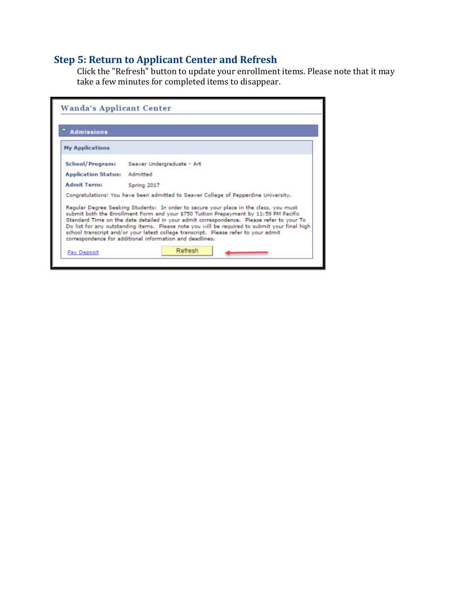#### **Step 5: Return to Applicant Center and Refresh**

Click the "Refresh" button to update your enrollment items. Please note that it may take a few minutes for completed items to disappear.

| <b>Admissions</b>          |                                                                                                                                                                                                                                                                                                                                                                                                                                                                                                                                |
|----------------------------|--------------------------------------------------------------------------------------------------------------------------------------------------------------------------------------------------------------------------------------------------------------------------------------------------------------------------------------------------------------------------------------------------------------------------------------------------------------------------------------------------------------------------------|
| <b>My Applications</b>     |                                                                                                                                                                                                                                                                                                                                                                                                                                                                                                                                |
| School/Program:            | Seaver Undergraduate - Art                                                                                                                                                                                                                                                                                                                                                                                                                                                                                                     |
| <b>Application Status:</b> | Admitted                                                                                                                                                                                                                                                                                                                                                                                                                                                                                                                       |
| <b>Admit Term:</b>         | Spring 2017                                                                                                                                                                                                                                                                                                                                                                                                                                                                                                                    |
|                            | Congratulations! You have been admitted to Seaver College of Pepperdine University.                                                                                                                                                                                                                                                                                                                                                                                                                                            |
|                            | Regular Degree Seeking Students: In order to secure your place in the class, you must<br>submit both the Enrollment Form and your \$750 Tuition Prepayment by 11:59 PM Pacific<br>Standard Time on the date detailed in your admit correspondence. Please refer to your To<br>Do list for any outstanding items. Please note you will be required to submit your final high<br>school transcript and/or your latest college transcript. Please refer to your admit<br>correspondence for additional information and deadlines. |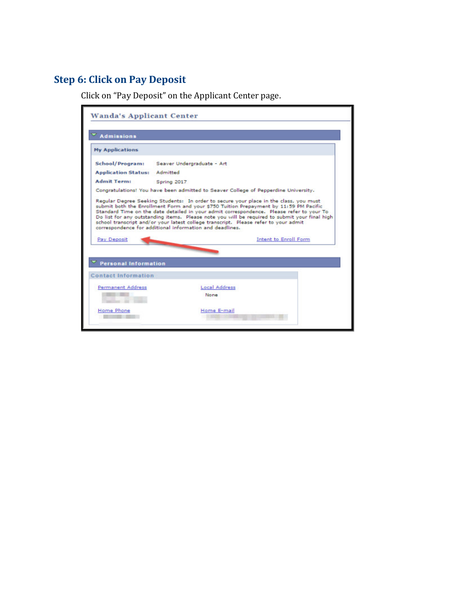# **Step 6: Click on Pay Deposit**

Click on "Pay Deposit" on the Applicant Center page.

| <b>Admissions</b>           |                                                                                                                                                 |                                                                                                                                                                                                                                                                                                                                                                             |
|-----------------------------|-------------------------------------------------------------------------------------------------------------------------------------------------|-----------------------------------------------------------------------------------------------------------------------------------------------------------------------------------------------------------------------------------------------------------------------------------------------------------------------------------------------------------------------------|
| <b>My Applications</b>      |                                                                                                                                                 |                                                                                                                                                                                                                                                                                                                                                                             |
| School/Program:             | Seaver Undergraduate - Art                                                                                                                      |                                                                                                                                                                                                                                                                                                                                                                             |
| <b>Application Status:</b>  | Admitted                                                                                                                                        |                                                                                                                                                                                                                                                                                                                                                                             |
| <b>Admit Term:</b>          | Spring 2017                                                                                                                                     |                                                                                                                                                                                                                                                                                                                                                                             |
|                             | Congratulations! You have been admitted to Seaver College of Pepperdine University.                                                             |                                                                                                                                                                                                                                                                                                                                                                             |
|                             | school transcript and/or your latest college transcript. Please refer to your admit<br>correspondence for additional information and deadlines. | Regular Degree Seeking Students: In order to secure your place in the class, you must<br>submit both the Enrollment Form and your \$750 Tuition Prepayment by 11:59 PM Pacific<br>Standard Time on the date detailed in your admit correspondence. Please refer to your To<br>Do list for any outstanding items. Please note you will be required to submit your final high |
| Pay Deposit                 |                                                                                                                                                 | <b>Intent to Enroll Form</b>                                                                                                                                                                                                                                                                                                                                                |
|                             |                                                                                                                                                 |                                                                                                                                                                                                                                                                                                                                                                             |
| <b>Personal Information</b> |                                                                                                                                                 |                                                                                                                                                                                                                                                                                                                                                                             |
| <b>Contact Information</b>  |                                                                                                                                                 |                                                                                                                                                                                                                                                                                                                                                                             |
| <b>Permanent Address</b>    | <b>Local Address</b>                                                                                                                            |                                                                                                                                                                                                                                                                                                                                                                             |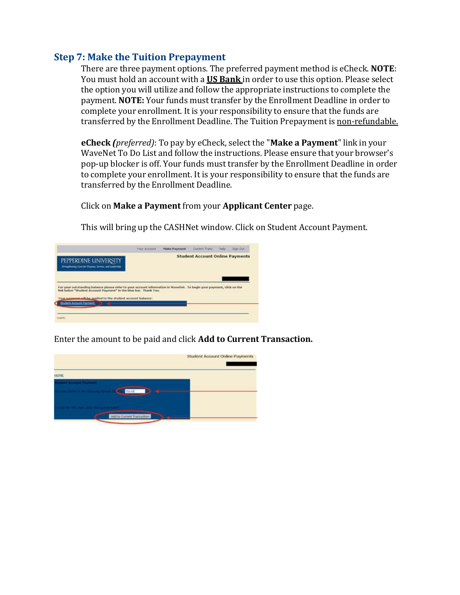#### **Step 7: Make the Tuition Prepayment**

There are three payment options. The preferred payment method is eCheck. **NOTE**: You must hold an account with a **US Bank** in order to use this option. Please select the option you will utilize and follow the appropriate instructions to complete the payment. **NOTE:** Your funds must transfer by the Enrollment Deadline in order to complete your enrollment. It is your responsibility to ensure that the funds are transferred by the Enrollment Deadline. The Tuition Prepayment is non-refundable.

**eCheck** *(preferred)*: To pay by eCheck, select the "**Make a Payment**" link in your WaveNet To Do List and follow the instructions. Please ensure that your browser's pop-up blocker is off. Your funds must transfer by the Enrollment Deadline in order to complete your enrollment. It is your responsibility to ensure that the funds are transferred by the Enrollment Deadline.

#### Click on **Make a Payment** from your **Applicant Center** page.

This will bring up the CASHNet window. Click on Student Account Payment.

|                                                                                                                                                                                            | <b>Your Account</b> | Make Payment | Classed Trans                                                                                                       | halp Bigs Out |
|--------------------------------------------------------------------------------------------------------------------------------------------------------------------------------------------|---------------------|--------------|---------------------------------------------------------------------------------------------------------------------|---------------|
| PEPPERDINE UNIVERSITY<br>Strengthrong Line for Parpouc Service, and Leadership                                                                                                             |                     |              | <b>Student Account Online Payments</b>                                                                              |               |
| For your outstanding balance please refer to your account information in Wavefurt. To begin your payment, click on the<br>link below "Student Account Payment" in the blue bar. Thank You. |                     |              | and the second control of the control of the control of the control of the control of the control of the control of |               |
|                                                                                                                                                                                            |                     |              |                                                                                                                     |               |
| Your nasessational for applied to the student account balance:<br>Student August Payment                                                                                                   |                     |              |                                                                                                                     |               |

Enter the amount to be paid and click **Add to Current Transaction.**

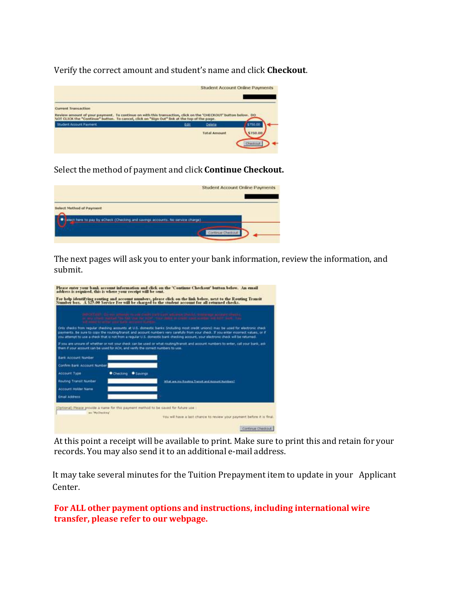Verify the correct amount and student's name and click **Checkout**.



Select the method of payment and click **Continue Checkout.**

|                                                                                                             | <b>Student Account Online Payments</b> |
|-------------------------------------------------------------------------------------------------------------|----------------------------------------|
| Select Method of Payment<br>elect hire to pay by eCheck (Checking and savings accounts. No service charge). |                                        |
|                                                                                                             | Continue Checkou                       |

The next pages will ask you to enter your bank information, review the information, and submit.

|                             | attributed, these settings in criticism constructions of                         | or any other status) the first last the transfer any paint in child come made and survives. The                                                                                                                                                                              |
|-----------------------------|----------------------------------------------------------------------------------|------------------------------------------------------------------------------------------------------------------------------------------------------------------------------------------------------------------------------------------------------------------------------|
|                             | and committee committee committees and committees on an                          | Only checks from regular checking accounts at U.S. domestic banks (including most credit unions) may be used for electronic check                                                                                                                                            |
|                             |                                                                                  | payments. Be sure to copy the routing/transit and account numbers very carefully from your check. If you enter incorrect values, or if<br>you attempt to use a check that is not from a regular U.S. domestic bank checking account, your electronic check will be returned. |
|                             | them if your account can be used for ACH, and verify the correct numbers to use. | If you are unsure of whether or not your check can be used or what routing/trareit and account numbers to enter, call your bank, ask                                                                                                                                         |
| <b>Bank Account Number</b>  | the company's company's company's                                                |                                                                                                                                                                                                                                                                              |
| Confirm Bank Account Number |                                                                                  |                                                                                                                                                                                                                                                                              |
| <b>Account Type</b>         | Checking<br>· Savings                                                            |                                                                                                                                                                                                                                                                              |
| Routing Transit Number      |                                                                                  | What are my Kouting Transit and Autount Number(1)                                                                                                                                                                                                                            |
| <b>Account Holder Name</b>  |                                                                                  |                                                                                                                                                                                                                                                                              |
|                             |                                                                                  |                                                                                                                                                                                                                                                                              |

At this point a receipt will be available to print. Make sure to print this and retain for your records. You may also send it to an additional e-mail address.

It may take several minutes for the Tuition Prepayment item to update in your Applicant Center.

**For ALL other payment options and instructions, including international wire transfer, please refer to our webpage.**